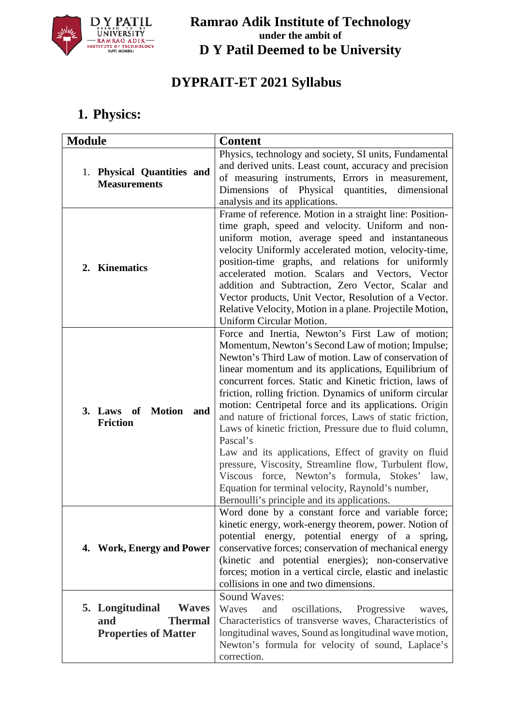

# **DYPRAIT-ET 2021 Syllabus**

# **1. Physics:**

| <b>Module</b>                                                                           | <b>Content</b>                                                                                                                                                                                                                                                                                                                                                                                                                                                                                                                                                                                                                                                                                                                                                                                                   |
|-----------------------------------------------------------------------------------------|------------------------------------------------------------------------------------------------------------------------------------------------------------------------------------------------------------------------------------------------------------------------------------------------------------------------------------------------------------------------------------------------------------------------------------------------------------------------------------------------------------------------------------------------------------------------------------------------------------------------------------------------------------------------------------------------------------------------------------------------------------------------------------------------------------------|
| 1. Physical Quantities and<br><b>Measurements</b>                                       | Physics, technology and society, SI units, Fundamental<br>and derived units. Least count, accuracy and precision<br>of measuring instruments, Errors in measurement,<br>Dimensions of Physical quantities, dimensional<br>analysis and its applications.                                                                                                                                                                                                                                                                                                                                                                                                                                                                                                                                                         |
| 2. Kinematics                                                                           | Frame of reference. Motion in a straight line: Position-<br>time graph, speed and velocity. Uniform and non-<br>uniform motion, average speed and instantaneous<br>velocity Uniformly accelerated motion, velocity-time,<br>position-time graphs, and relations for uniformly<br>accelerated motion. Scalars and Vectors, Vector<br>addition and Subtraction, Zero Vector, Scalar and<br>Vector products, Unit Vector, Resolution of a Vector.<br>Relative Velocity, Motion in a plane. Projectile Motion,<br>Uniform Circular Motion.                                                                                                                                                                                                                                                                           |
| <b>Motion</b><br>3. Laws of<br>and<br><b>Friction</b>                                   | Force and Inertia, Newton's First Law of motion;<br>Momentum, Newton's Second Law of motion; Impulse;<br>Newton's Third Law of motion. Law of conservation of<br>linear momentum and its applications, Equilibrium of<br>concurrent forces. Static and Kinetic friction, laws of<br>friction, rolling friction. Dynamics of uniform circular<br>motion: Centripetal force and its applications. Origin<br>and nature of frictional forces, Laws of static friction,<br>Laws of kinetic friction, Pressure due to fluid column,<br>Pascal's<br>Law and its applications, Effect of gravity on fluid<br>pressure, Viscosity, Streamline flow, Turbulent flow,<br>Viscous force, Newton's formula, Stokes' law,<br>Equation for terminal velocity, Raynold's number,<br>Bernoulli's principle and its applications. |
| 4. Work, Energy and Power                                                               | Word done by a constant force and variable force;<br>kinetic energy, work-energy theorem, power. Notion of<br>potential energy, potential energy of a spring,<br>conservative forces; conservation of mechanical energy<br>(kinetic and potential energies); non-conservative<br>forces; motion in a vertical circle, elastic and inelastic<br>collisions in one and two dimensions.                                                                                                                                                                                                                                                                                                                                                                                                                             |
| <b>Waves</b><br>5. Longitudinal<br>and<br><b>Thermal</b><br><b>Properties of Matter</b> | <b>Sound Waves:</b><br>Waves<br>and<br>oscillations,<br>Progressive<br>waves,<br>Characteristics of transverse waves, Characteristics of<br>longitudinal waves, Sound as longitudinal wave motion,<br>Newton's formula for velocity of sound, Laplace's<br>correction.                                                                                                                                                                                                                                                                                                                                                                                                                                                                                                                                           |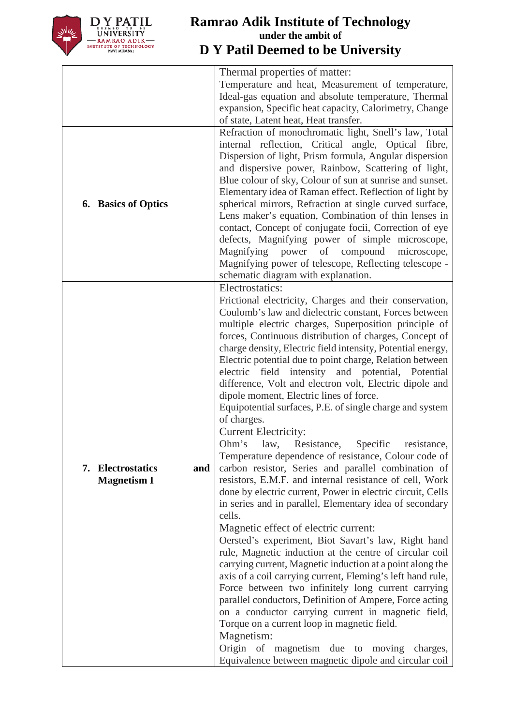

|                            | Thermal properties of matter:                               |
|----------------------------|-------------------------------------------------------------|
|                            | Temperature and heat, Measurement of temperature,           |
|                            | Ideal-gas equation and absolute temperature, Thermal        |
|                            | expansion, Specific heat capacity, Calorimetry, Change      |
|                            | of state, Latent heat, Heat transfer.                       |
|                            | Refraction of monochromatic light, Snell's law, Total       |
|                            |                                                             |
|                            | internal reflection, Critical angle, Optical fibre,         |
|                            | Dispersion of light, Prism formula, Angular dispersion      |
|                            | and dispersive power, Rainbow, Scattering of light,         |
|                            | Blue colour of sky, Colour of sun at sunrise and sunset.    |
|                            | Elementary idea of Raman effect. Reflection of light by     |
| <b>6.</b> Basics of Optics | spherical mirrors, Refraction at single curved surface,     |
|                            | Lens maker's equation, Combination of thin lenses in        |
|                            | contact, Concept of conjugate focii, Correction of eye      |
|                            | defects, Magnifying power of simple microscope,             |
|                            | Magnifying power of compound microscope,                    |
|                            | Magnifying power of telescope, Reflecting telescope -       |
|                            | schematic diagram with explanation.                         |
|                            | Electrostatics:                                             |
|                            | Frictional electricity, Charges and their conservation,     |
|                            |                                                             |
|                            | Coulomb's law and dielectric constant, Forces between       |
|                            | multiple electric charges, Superposition principle of       |
|                            | forces, Continuous distribution of charges, Concept of      |
|                            | charge density, Electric field intensity, Potential energy, |
|                            | Electric potential due to point charge, Relation between    |
|                            | electric field intensity and potential, Potential           |
|                            | difference, Volt and electron volt, Electric dipole and     |
|                            | dipole moment, Electric lines of force.                     |
|                            | Equipotential surfaces, P.E. of single charge and system    |
|                            | of charges.                                                 |
|                            | <b>Current Electricity:</b>                                 |
|                            | Ohm's law,<br>Resistance,<br>Specific<br>resistance,        |
|                            | Temperature dependence of resistance, Colour code of        |
| 7. Electrostatics<br>and   | carbon resistor, Series and parallel combination of         |
| <b>Magnetism I</b>         | resistors, E.M.F. and internal resistance of cell, Work     |
|                            | done by electric current, Power in electric circuit, Cells  |
|                            | in series and in parallel, Elementary idea of secondary     |
|                            | cells.                                                      |
|                            | Magnetic effect of electric current:                        |
|                            | Oersted's experiment, Biot Savart's law, Right hand         |
|                            |                                                             |
|                            | rule, Magnetic induction at the centre of circular coil     |
|                            | carrying current, Magnetic induction at a point along the   |
|                            | axis of a coil carrying current, Fleming's left hand rule,  |
|                            | Force between two infinitely long current carrying          |
|                            | parallel conductors, Definition of Ampere, Force acting     |
|                            | on a conductor carrying current in magnetic field,          |
|                            | Torque on a current loop in magnetic field.                 |
|                            | Magnetism:                                                  |
|                            | Origin of magnetism due to moving charges,                  |
|                            | Equivalence between magnetic dipole and circular coil       |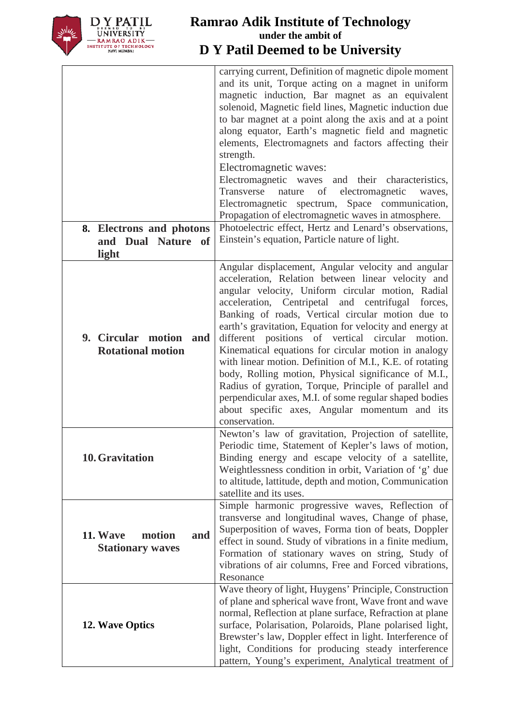

| 8. Electrons and photons<br>and Dual Nature of              | carrying current, Definition of magnetic dipole moment<br>and its unit, Torque acting on a magnet in uniform<br>magnetic induction, Bar magnet as an equivalent<br>solenoid, Magnetic field lines, Magnetic induction due<br>to bar magnet at a point along the axis and at a point<br>along equator, Earth's magnetic field and magnetic<br>elements, Electromagnets and factors affecting their<br>strength.<br>Electromagnetic waves:<br>Electromagnetic waves and their characteristics,<br>Transverse<br>of<br>electromagnetic<br>nature<br>waves,<br>Electromagnetic spectrum, Space communication,<br>Propagation of electromagnetic waves in atmosphere.<br>Photoelectric effect, Hertz and Lenard's observations,<br>Einstein's equation, Particle nature of light. |
|-------------------------------------------------------------|------------------------------------------------------------------------------------------------------------------------------------------------------------------------------------------------------------------------------------------------------------------------------------------------------------------------------------------------------------------------------------------------------------------------------------------------------------------------------------------------------------------------------------------------------------------------------------------------------------------------------------------------------------------------------------------------------------------------------------------------------------------------------|
|                                                             |                                                                                                                                                                                                                                                                                                                                                                                                                                                                                                                                                                                                                                                                                                                                                                              |
| light<br>9. Circular motion and<br><b>Rotational motion</b> | Angular displacement, Angular velocity and angular<br>acceleration, Relation between linear velocity and<br>angular velocity, Uniform circular motion, Radial<br>acceleration, Centripetal and centrifugal forces,<br>Banking of roads, Vertical circular motion due to<br>earth's gravitation, Equation for velocity and energy at<br>different positions of vertical circular<br>motion.<br>Kinematical equations for circular motion in analogy<br>with linear motion. Definition of M.I., K.E. of rotating<br>body, Rolling motion, Physical significance of M.I.,<br>Radius of gyration, Torque, Principle of parallel and<br>perpendicular axes, M.I. of some regular shaped bodies<br>about specific axes, Angular momentum and its<br>conservation.                  |
| 10. Gravitation                                             | Newton's law of gravitation, Projection of satellite,<br>Periodic time, Statement of Kepler's laws of motion,<br>Binding energy and escape velocity of a satellite,<br>Weightlessness condition in orbit, Variation of 'g' due<br>to altitude, lattitude, depth and motion, Communication<br>satellite and its uses.                                                                                                                                                                                                                                                                                                                                                                                                                                                         |
| 11. Wave<br>motion<br>and<br><b>Stationary waves</b>        | Simple harmonic progressive waves, Reflection of<br>transverse and longitudinal waves, Change of phase,<br>Superposition of waves, Forma tion of beats, Doppler<br>effect in sound. Study of vibrations in a finite medium,<br>Formation of stationary waves on string, Study of<br>vibrations of air columns, Free and Forced vibrations,<br>Resonance                                                                                                                                                                                                                                                                                                                                                                                                                      |
| <b>12. Wave Optics</b>                                      | Wave theory of light, Huygens' Principle, Construction<br>of plane and spherical wave front, Wave front and wave<br>normal, Reflection at plane surface, Refraction at plane<br>surface, Polarisation, Polaroids, Plane polarised light,<br>Brewster's law, Doppler effect in light. Interference of<br>light, Conditions for producing steady interference<br>pattern, Young's experiment, Analytical treatment of                                                                                                                                                                                                                                                                                                                                                          |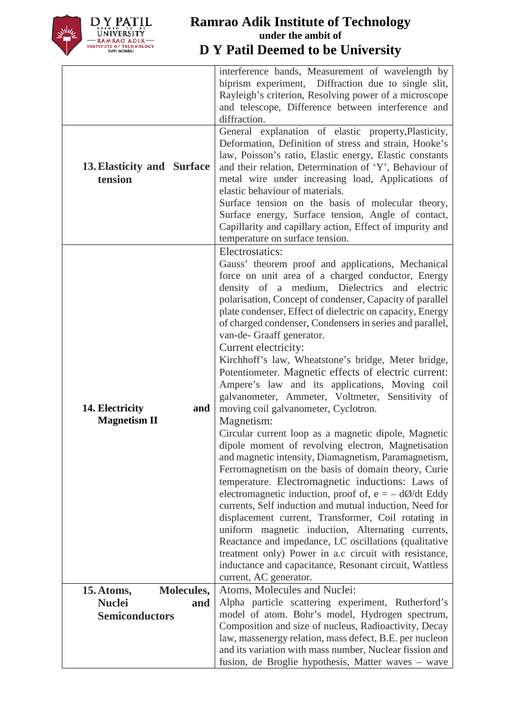

|                                               | interference bands, Measurement of wavelength by<br>biprism experiment, Diffraction due to single slit,<br>Rayleigh's criterion, Resolving power of a microscope<br>and telescope, Difference between interference and<br>diffraction.                                                                                                                                                                                                                                                                                                                                                                                                                                                                                                                                                                                                                                                                                                                                                                                                                                                                                                                                                                                                                                                                                                                                                                                        |
|-----------------------------------------------|-------------------------------------------------------------------------------------------------------------------------------------------------------------------------------------------------------------------------------------------------------------------------------------------------------------------------------------------------------------------------------------------------------------------------------------------------------------------------------------------------------------------------------------------------------------------------------------------------------------------------------------------------------------------------------------------------------------------------------------------------------------------------------------------------------------------------------------------------------------------------------------------------------------------------------------------------------------------------------------------------------------------------------------------------------------------------------------------------------------------------------------------------------------------------------------------------------------------------------------------------------------------------------------------------------------------------------------------------------------------------------------------------------------------------------|
| 13. Elasticity and Surface<br>tension         | General explanation of elastic property, Plasticity,<br>Deformation, Definition of stress and strain, Hooke's<br>law, Poisson's ratio, Elastic energy, Elastic constants<br>and their relation, Determination of 'Y', Behaviour of<br>metal wire under increasing load, Applications of<br>elastic behaviour of materials.<br>Surface tension on the basis of molecular theory,<br>Surface energy, Surface tension, Angle of contact,<br>Capillarity and capillary action, Effect of impurity and<br>temperature on surface tension.                                                                                                                                                                                                                                                                                                                                                                                                                                                                                                                                                                                                                                                                                                                                                                                                                                                                                          |
| 14. Electricity<br>and<br><b>Magnetism II</b> | Electrostatics:<br>Gauss' theorem proof and applications, Mechanical<br>force on unit area of a charged conductor, Energy<br>density of a medium, Dielectrics<br>and electric<br>polarisation, Concept of condenser, Capacity of parallel<br>plate condenser, Effect of dielectric on capacity, Energy<br>of charged condenser, Condensers in series and parallel,<br>van-de- Graaff generator.<br>Current electricity:<br>Kirchhoff's law, Wheatstone's bridge, Meter bridge,<br>Potentiometer. Magnetic effects of electric current:<br>Ampere's law and its applications, Moving coil<br>galvanometer, Ammeter, Voltmeter, Sensitivity of<br>moving coil galvanometer, Cyclotron.<br>Magnetism:<br>Circular current loop as a magnetic dipole, Magnetic<br>dipole moment of revolving electron, Magnetisation<br>and magnetic intensity, Diamagnetism, Paramagnetism,<br>Ferromagnetism on the basis of domain theory, Curie<br>temperature. Electromagnetic inductions: Laws of<br>electromagnetic induction, proof of, $e = -d\phi/dt$ Eddy<br>currents, Self induction and mutual induction, Need for<br>displacement current, Transformer, Coil rotating in<br>uniform magnetic induction, Alternating currents,<br>Reactance and impedance, LC oscillations (qualitative<br>treatment only) Power in a.c circuit with resistance,<br>inductance and capacitance, Resonant circuit, Wattless<br>current, AC generator. |
| <b>Molecules,</b><br>15. Atoms,               | Atoms, Molecules and Nuclei:                                                                                                                                                                                                                                                                                                                                                                                                                                                                                                                                                                                                                                                                                                                                                                                                                                                                                                                                                                                                                                                                                                                                                                                                                                                                                                                                                                                                  |
| <b>Nuclei</b><br>and                          | Alpha particle scattering experiment, Rutherford's                                                                                                                                                                                                                                                                                                                                                                                                                                                                                                                                                                                                                                                                                                                                                                                                                                                                                                                                                                                                                                                                                                                                                                                                                                                                                                                                                                            |
| <b>Semiconductors</b>                         | model of atom. Bohr's model, Hydrogen spectrum,                                                                                                                                                                                                                                                                                                                                                                                                                                                                                                                                                                                                                                                                                                                                                                                                                                                                                                                                                                                                                                                                                                                                                                                                                                                                                                                                                                               |
|                                               | Composition and size of nucleus, Radioactivity, Decay                                                                                                                                                                                                                                                                                                                                                                                                                                                                                                                                                                                                                                                                                                                                                                                                                                                                                                                                                                                                                                                                                                                                                                                                                                                                                                                                                                         |
|                                               | law, massenergy relation, mass defect, B.E. per nucleon                                                                                                                                                                                                                                                                                                                                                                                                                                                                                                                                                                                                                                                                                                                                                                                                                                                                                                                                                                                                                                                                                                                                                                                                                                                                                                                                                                       |
|                                               | and its variation with mass number, Nuclear fission and<br>fusion, de Broglie hypothesis, Matter waves – wave                                                                                                                                                                                                                                                                                                                                                                                                                                                                                                                                                                                                                                                                                                                                                                                                                                                                                                                                                                                                                                                                                                                                                                                                                                                                                                                 |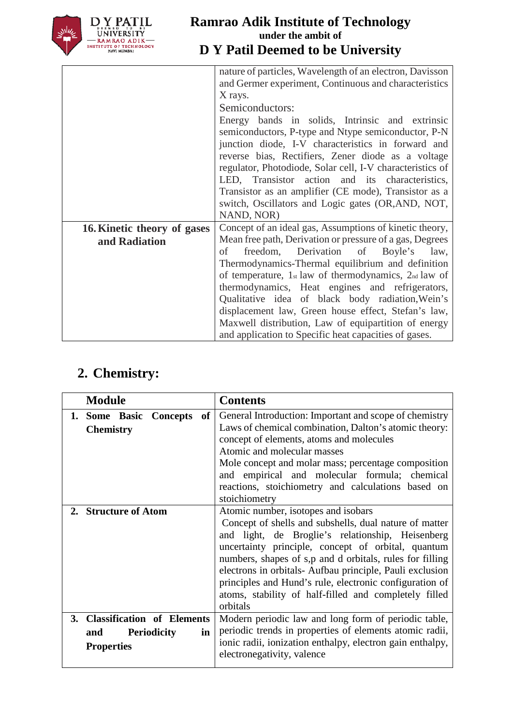

|                             | nature of particles, Wavelength of an electron, Davisson  |
|-----------------------------|-----------------------------------------------------------|
|                             | and Germer experiment, Continuous and characteristics     |
|                             | X rays.                                                   |
|                             | Semiconductors:                                           |
|                             | Energy bands in solids, Intrinsic and extrinsic           |
|                             | semiconductors, P-type and Ntype semiconductor, P-N       |
|                             | junction diode, I-V characteristics in forward and        |
|                             | reverse bias, Rectifiers, Zener diode as a voltage        |
|                             | regulator, Photodiode, Solar cell, I-V characteristics of |
|                             | LED, Transistor action and its characteristics,           |
|                             | Transistor as an amplifier (CE mode), Transistor as a     |
|                             | switch, Oscillators and Logic gates (OR, AND, NOT,        |
|                             | NAND, NOR)                                                |
| 16. Kinetic theory of gases | Concept of an ideal gas, Assumptions of kinetic theory,   |
| and Radiation               | Mean free path, Derivation or pressure of a gas, Degrees  |
|                             | freedom, Derivation of Boyle's<br>of<br>law,              |
|                             | Thermodynamics-Thermal equilibrium and definition         |
|                             | of temperature, 1st law of thermodynamics, 2nd law of     |
|                             | thermodynamics, Heat engines and refrigerators,           |
|                             | Qualitative idea of black body radiation, Wein's          |
|                             | displacement law, Green house effect, Stefan's law,       |
|                             | Maxwell distribution, Law of equipartition of energy      |
|                             | and application to Specific heat capacities of gases.     |

# **2. Chemistry:**

| <b>Module</b>                                                                         | <b>Contents</b>                                                                                                                                                                                                                                                                                                                                                                                                                                                |
|---------------------------------------------------------------------------------------|----------------------------------------------------------------------------------------------------------------------------------------------------------------------------------------------------------------------------------------------------------------------------------------------------------------------------------------------------------------------------------------------------------------------------------------------------------------|
| 1. Some Basic<br>of<br><b>Concepts</b><br><b>Chemistry</b>                            | General Introduction: Important and scope of chemistry<br>Laws of chemical combination, Dalton's atomic theory:<br>concept of elements, atoms and molecules<br>Atomic and molecular masses<br>Mole concept and molar mass; percentage composition<br>and empirical and molecular formula; chemical<br>reactions, stoichiometry and calculations based on<br>stoichiometry                                                                                      |
| 2. Structure of Atom                                                                  | Atomic number, isotopes and isobars<br>Concept of shells and subshells, dual nature of matter<br>and light, de Broglie's relationship, Heisenberg<br>uncertainty principle, concept of orbital, quantum<br>numbers, shapes of s,p and d orbitals, rules for filling<br>electrons in orbitals-Aufbau principle, Pauli exclusion<br>principles and Hund's rule, electronic configuration of<br>atoms, stability of half-filled and completely filled<br>orbitals |
| 3. Classification of Elements<br><b>Periodicity</b><br>and<br>in<br><b>Properties</b> | Modern periodic law and long form of periodic table,<br>periodic trends in properties of elements atomic radii,<br>ionic radii, ionization enthalpy, electron gain enthalpy,<br>electronegativity, valence                                                                                                                                                                                                                                                     |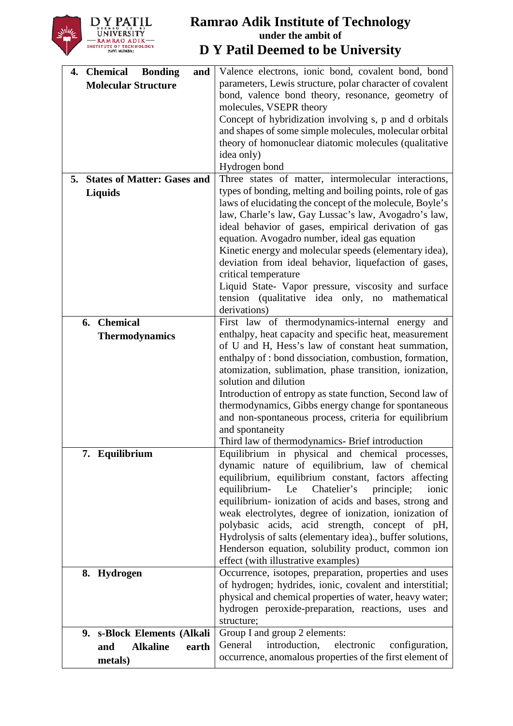

| 4. Chemical<br><b>Bonding</b><br>and     | Valence electrons, ionic bond, covalent bond, bond                                                                 |
|------------------------------------------|--------------------------------------------------------------------------------------------------------------------|
| <b>Molecular Structure</b>               | parameters, Lewis structure, polar character of covalent                                                           |
|                                          | bond, valence bond theory, resonance, geometry of                                                                  |
|                                          | molecules, VSEPR theory                                                                                            |
|                                          | Concept of hybridization involving s, p and d orbitals                                                             |
|                                          | and shapes of some simple molecules, molecular orbital                                                             |
|                                          | theory of homonuclear diatomic molecules (qualitative                                                              |
|                                          | idea only)                                                                                                         |
|                                          | Hydrogen bond                                                                                                      |
| <b>States of Matter: Gases and</b><br>5. | Three states of matter, intermolecular interactions,                                                               |
| <b>Liquids</b>                           | types of bonding, melting and boiling points, role of gas                                                          |
|                                          | laws of elucidating the concept of the molecule, Boyle's                                                           |
|                                          | law, Charle's law, Gay Lussac's law, Avogadro's law,                                                               |
|                                          | ideal behavior of gases, empirical derivation of gas                                                               |
|                                          | equation. Avogadro number, ideal gas equation                                                                      |
|                                          | Kinetic energy and molecular speeds (elementary idea),                                                             |
|                                          | deviation from ideal behavior, liquefaction of gases,                                                              |
|                                          | critical temperature                                                                                               |
|                                          | Liquid State- Vapor pressure, viscosity and surface                                                                |
|                                          | tension (qualitative idea only, no mathematical                                                                    |
|                                          | derivations)                                                                                                       |
| <b>Chemical</b><br>6.                    | First law of thermodynamics-internal energy and                                                                    |
| <b>Thermodynamics</b>                    | enthalpy, heat capacity and specific heat, measurement                                                             |
|                                          | of U and H, Hess's law of constant heat summation,                                                                 |
|                                          | enthalpy of : bond dissociation, combustion, formation,                                                            |
|                                          | atomization, sublimation, phase transition, ionization,                                                            |
|                                          | solution and dilution                                                                                              |
|                                          | Introduction of entropy as state function, Second law of                                                           |
|                                          | thermodynamics, Gibbs energy change for spontaneous                                                                |
|                                          | and non-spontaneous process, criteria for equilibrium                                                              |
|                                          | and spontaneity                                                                                                    |
|                                          | Third law of thermodynamics- Brief introduction                                                                    |
| 7. Equilibrium                           | Equilibrium in physical and chemical processes,                                                                    |
|                                          | dynamic nature of equilibrium, law of chemical                                                                     |
|                                          | equilibrium, equilibrium constant, factors affecting                                                               |
|                                          | Chatelier's<br>equilibrium-<br>Le<br>principle;<br>ionic                                                           |
|                                          | equilibrium-ionization of acids and bases, strong and                                                              |
|                                          | weak electrolytes, degree of ionization, ionization of                                                             |
|                                          | polybasic acids, acid strength, concept of pH,<br>Hydrolysis of salts (elementary idea)., buffer solutions,        |
|                                          | Henderson equation, solubility product, common ion                                                                 |
|                                          | effect (with illustrative examples)                                                                                |
|                                          |                                                                                                                    |
| 8. Hydrogen                              | Occurrence, isotopes, preparation, properties and uses<br>of hydrogen; hydrides, ionic, covalent and interstitial; |
|                                          | physical and chemical properties of water, heavy water;                                                            |
|                                          | hydrogen peroxide-preparation, reactions, uses and                                                                 |
|                                          | structure;                                                                                                         |
| 9. s-Block Elements (Alkali              | Group I and group 2 elements:                                                                                      |
|                                          | General<br>introduction,<br>electronic<br>configuration,                                                           |
| <b>Alkaline</b><br>and<br>earth          | occurrence, anomalous properties of the first element of                                                           |
| metals)                                  |                                                                                                                    |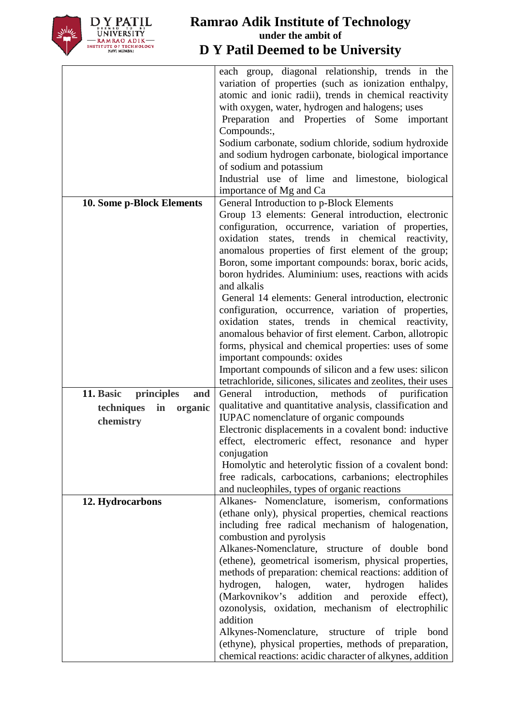

|                                | each group, diagonal relationship, trends in the                                                                |
|--------------------------------|-----------------------------------------------------------------------------------------------------------------|
|                                | variation of properties (such as ionization enthalpy,                                                           |
|                                | atomic and ionic radii), trends in chemical reactivity                                                          |
|                                | with oxygen, water, hydrogen and halogens; uses                                                                 |
|                                | Preparation and Properties of Some important                                                                    |
|                                | Compounds:,                                                                                                     |
|                                | Sodium carbonate, sodium chloride, sodium hydroxide                                                             |
|                                | and sodium hydrogen carbonate, biological importance                                                            |
|                                | of sodium and potassium                                                                                         |
|                                | Industrial use of lime and limestone, biological                                                                |
|                                | importance of Mg and Ca                                                                                         |
| 10. Some p-Block Elements      | General Introduction to p-Block Elements                                                                        |
|                                | Group 13 elements: General introduction, electronic                                                             |
|                                | configuration, occurrence, variation of properties,                                                             |
|                                | states, trends in chemical reactivity,<br>oxidation                                                             |
|                                | anomalous properties of first element of the group;                                                             |
|                                | Boron, some important compounds: borax, boric acids,                                                            |
|                                | boron hydrides. Aluminium: uses, reactions with acids                                                           |
|                                | and alkalis                                                                                                     |
|                                | General 14 elements: General introduction, electronic                                                           |
|                                | configuration, occurrence, variation of properties,                                                             |
|                                | oxidation<br>trends in chemical<br>states,<br>reactivity,                                                       |
|                                | anomalous behavior of first element. Carbon, allotropic                                                         |
|                                | forms, physical and chemical properties: uses of some                                                           |
|                                | important compounds: oxides                                                                                     |
|                                | Important compounds of silicon and a few uses: silicon                                                          |
|                                | tetrachloride, silicones, silicates and zeolites, their uses                                                    |
| 11. Basic<br>principles<br>and | introduction,<br>methods<br>of<br>General<br>purification                                                       |
| techniques<br>in<br>organic    | qualitative and quantitative analysis, classification and                                                       |
| chemistry                      | IUPAC nomenclature of organic compounds                                                                         |
|                                | Electronic displacements in a covalent bond: inductive                                                          |
|                                | effect, electromeric effect, resonance and hyper                                                                |
|                                | conjugation                                                                                                     |
|                                | Homolytic and heterolytic fission of a covalent bond:<br>free radicals, carbocations, carbanions; electrophiles |
|                                | and nucleophiles, types of organic reactions                                                                    |
| 12. Hydrocarbons               | Alkanes- Nomenclature, isomerism, conformations                                                                 |
|                                | (ethane only), physical properties, chemical reactions                                                          |
|                                | including free radical mechanism of halogenation,                                                               |
|                                | combustion and pyrolysis                                                                                        |
|                                | Alkanes-Nomenclature, structure of double bond                                                                  |
|                                | (ethene), geometrical isomerism, physical properties,                                                           |
|                                | methods of preparation: chemical reactions: addition of                                                         |
|                                | halides<br>hydrogen,<br>halogen,<br>hydrogen<br>water,                                                          |
|                                | (Markovnikov's addition<br>and<br>peroxide<br>effect),                                                          |
|                                | ozonolysis, oxidation, mechanism of electrophilic                                                               |
|                                | addition                                                                                                        |
|                                | Alkynes-Nomenclature, structure of<br>triple<br>bond                                                            |
|                                | (ethyne), physical properties, methods of preparation,                                                          |
|                                | chemical reactions: acidic character of alkynes, addition                                                       |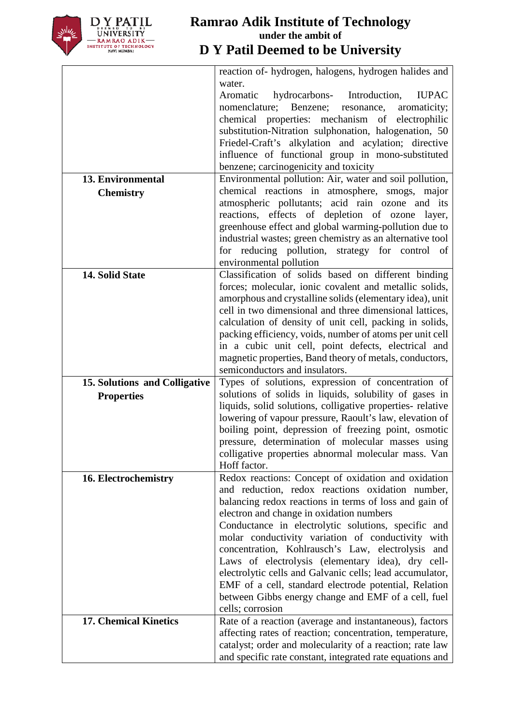

|                               | reaction of- hydrogen, halogens, hydrogen halides and                                                           |
|-------------------------------|-----------------------------------------------------------------------------------------------------------------|
|                               | water.                                                                                                          |
|                               | hydrocarbons- Introduction,<br><b>IUPAC</b><br>Aromatic                                                         |
|                               | Benzene;<br>nomenclature;<br>aromaticity;<br>resonance,<br>chemical properties: mechanism of electrophilic      |
|                               | substitution-Nitration sulphonation, halogenation, 50                                                           |
|                               | Friedel-Craft's alkylation and acylation; directive                                                             |
|                               | influence of functional group in mono-substituted                                                               |
|                               | benzene; carcinogenicity and toxicity                                                                           |
| 13. Environmental             | Environmental pollution: Air, water and soil pollution,                                                         |
| <b>Chemistry</b>              | chemical reactions in atmosphere, smogs, major                                                                  |
|                               | atmospheric pollutants; acid rain ozone and its                                                                 |
|                               | reactions, effects of depletion of ozone layer,                                                                 |
|                               | greenhouse effect and global warming-pollution due to                                                           |
|                               | industrial wastes; green chemistry as an alternative tool                                                       |
|                               | for reducing pollution, strategy for control of                                                                 |
|                               | environmental pollution                                                                                         |
| 14. Solid State               | Classification of solids based on different binding<br>forces; molecular, ionic covalent and metallic solids,   |
|                               | amorphous and crystalline solids (elementary idea), unit                                                        |
|                               | cell in two dimensional and three dimensional lattices,                                                         |
|                               | calculation of density of unit cell, packing in solids,                                                         |
|                               | packing efficiency, voids, number of atoms per unit cell                                                        |
|                               | in a cubic unit cell, point defects, electrical and                                                             |
|                               | magnetic properties, Band theory of metals, conductors,                                                         |
|                               | semiconductors and insulators.                                                                                  |
| 15. Solutions and Colligative | Types of solutions, expression of concentration of                                                              |
| <b>Properties</b>             | solutions of solids in liquids, solubility of gases in                                                          |
|                               | liquids, solid solutions, colligative properties- relative                                                      |
|                               | lowering of vapour pressure, Raoult's law, elevation of<br>boiling point, depression of freezing point, osmotic |
|                               | pressure, determination of molecular masses using                                                               |
|                               | colligative properties abnormal molecular mass. Van                                                             |
|                               | Hoff factor.                                                                                                    |
| 16. Electrochemistry          | Redox reactions: Concept of oxidation and oxidation                                                             |
|                               | and reduction, redox reactions oxidation number,                                                                |
|                               | balancing redox reactions in terms of loss and gain of                                                          |
|                               | electron and change in oxidation numbers                                                                        |
|                               | Conductance in electrolytic solutions, specific and                                                             |
|                               | molar conductivity variation of conductivity with                                                               |
|                               | concentration, Kohlrausch's Law, electrolysis and<br>Laws of electrolysis (elementary idea), dry cell-          |
|                               | electrolytic cells and Galvanic cells; lead accumulator,                                                        |
|                               | EMF of a cell, standard electrode potential, Relation                                                           |
|                               | between Gibbs energy change and EMF of a cell, fuel                                                             |
|                               | cells; corrosion                                                                                                |
| <b>17. Chemical Kinetics</b>  | Rate of a reaction (average and instantaneous), factors                                                         |
|                               | affecting rates of reaction; concentration, temperature,                                                        |
|                               | catalyst; order and molecularity of a reaction; rate law                                                        |
|                               | and specific rate constant, integrated rate equations and                                                       |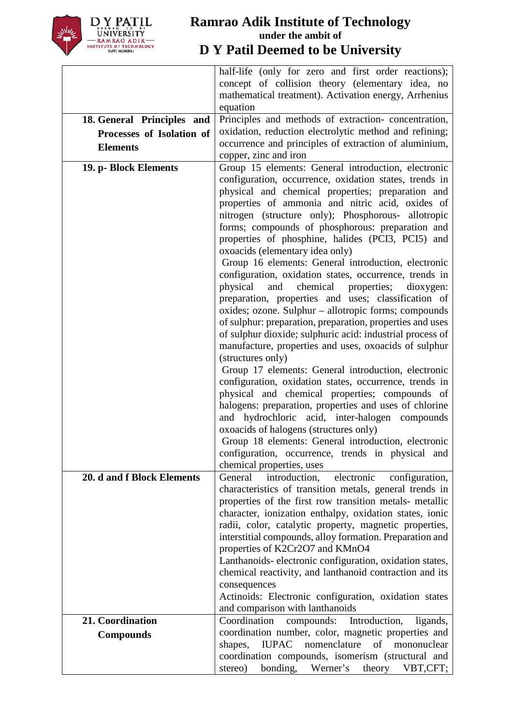

|                            | half-life (only for zero and first order reactions);                                                                                                                                                                   |
|----------------------------|------------------------------------------------------------------------------------------------------------------------------------------------------------------------------------------------------------------------|
|                            | concept of collision theory (elementary idea, no                                                                                                                                                                       |
|                            | mathematical treatment). Activation energy, Arrhenius                                                                                                                                                                  |
|                            | equation                                                                                                                                                                                                               |
| 18. General Principles and | Principles and methods of extraction-concentration,                                                                                                                                                                    |
| Processes of Isolation of  | oxidation, reduction electrolytic method and refining;                                                                                                                                                                 |
| <b>Elements</b>            | occurrence and principles of extraction of aluminium,                                                                                                                                                                  |
|                            | copper, zinc and iron                                                                                                                                                                                                  |
| 19. p- Block Elements      | Group 15 elements: General introduction, electronic<br>configuration, occurrence, oxidation states, trends in<br>physical and chemical properties; preparation and<br>properties of ammonia and nitric acid, oxides of |
|                            | nitrogen (structure only); Phosphorous- allotropic<br>forms; compounds of phosphorous: preparation and<br>properties of phosphine, halides (PCI3, PCI5) and<br>oxoacids (elementary idea only)                         |
|                            | Group 16 elements: General introduction, electronic                                                                                                                                                                    |
|                            | configuration, oxidation states, occurrence, trends in                                                                                                                                                                 |
|                            | chemical<br>physical<br>and<br>properties;<br>dioxygen:                                                                                                                                                                |
|                            | preparation, properties and uses; classification of                                                                                                                                                                    |
|                            | oxides; ozone. Sulphur – allotropic forms; compounds                                                                                                                                                                   |
|                            | of sulphur: preparation, preparation, properties and uses                                                                                                                                                              |
|                            | of sulphur dioxide; sulphuric acid: industrial process of                                                                                                                                                              |
|                            | manufacture, properties and uses, oxoacids of sulphur                                                                                                                                                                  |
|                            | (structures only)                                                                                                                                                                                                      |
|                            | Group 17 elements: General introduction, electronic                                                                                                                                                                    |
|                            | configuration, oxidation states, occurrence, trends in                                                                                                                                                                 |
|                            | physical and chemical properties; compounds of<br>halogens: preparation, properties and uses of chlorine                                                                                                               |
|                            | and hydrochloric acid, inter-halogen compounds                                                                                                                                                                         |
|                            | oxoacids of halogens (structures only)                                                                                                                                                                                 |
|                            | Group 18 elements: General introduction, electronic                                                                                                                                                                    |
|                            | configuration, occurrence, trends in physical and                                                                                                                                                                      |
|                            | chemical properties, uses                                                                                                                                                                                              |
| 20. d and f Block Elements | electronic<br>General<br>introduction,<br>configuration,                                                                                                                                                               |
|                            | characteristics of transition metals, general trends in                                                                                                                                                                |
|                            | properties of the first row transition metals- metallic                                                                                                                                                                |
|                            | character, ionization enthalpy, oxidation states, ionic                                                                                                                                                                |
|                            | radii, color, catalytic property, magnetic properties,                                                                                                                                                                 |
|                            | interstitial compounds, alloy formation. Preparation and                                                                                                                                                               |
|                            | properties of K2Cr2O7 and KMnO4<br>Lanthanoids-electronic configuration, oxidation states,                                                                                                                             |
|                            | chemical reactivity, and lanthanoid contraction and its                                                                                                                                                                |
|                            | consequences                                                                                                                                                                                                           |
|                            | Actinoids: Electronic configuration, oxidation states                                                                                                                                                                  |
|                            | and comparison with lanthanoids                                                                                                                                                                                        |
| 21. Coordination           | compounds: Introduction,<br>Coordination<br>ligands,                                                                                                                                                                   |
| <b>Compounds</b>           | coordination number, color, magnetic properties and                                                                                                                                                                    |
|                            | nomenclature<br>of<br>shapes,<br><b>IUPAC</b><br>mononuclear                                                                                                                                                           |
|                            | coordination compounds, isomerism (structural and                                                                                                                                                                      |
|                            | bonding,<br>Werner's<br>theory<br>stereo)<br>VBT,CFT;                                                                                                                                                                  |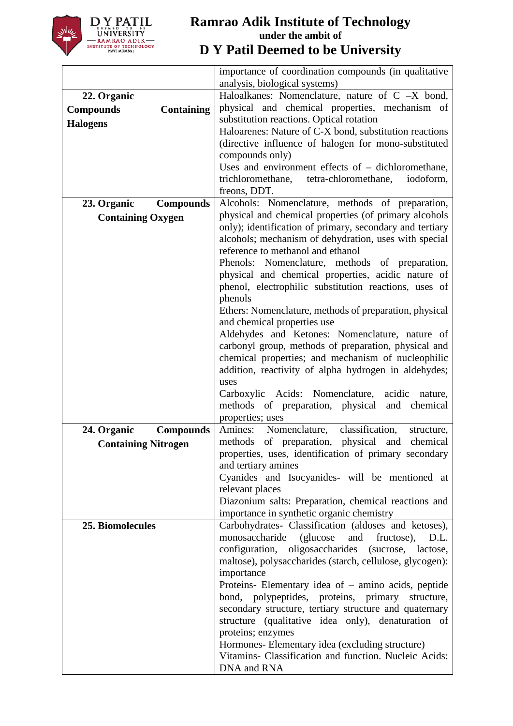

|                                       | importance of coordination compounds (in qualitative<br>analysis, biological systems) |
|---------------------------------------|---------------------------------------------------------------------------------------|
| 22. Organic                           | Haloalkanes: Nomenclature, nature of $C -X$ bond,                                     |
|                                       | physical and chemical properties, mechanism of                                        |
| <b>Compounds</b><br><b>Containing</b> | substitution reactions. Optical rotation                                              |
| <b>Halogens</b>                       | Haloarenes: Nature of C-X bond, substitution reactions                                |
|                                       |                                                                                       |
|                                       | (directive influence of halogen for mono-substituted                                  |
|                                       | compounds only)                                                                       |
|                                       | Uses and environment effects of $-$ dichloromethane,                                  |
|                                       | trichloromethane, tetra-chloromethane,<br>iodoform,                                   |
|                                       | freons, DDT.                                                                          |
| 23. Organic<br><b>Compounds</b>       | Alcohols: Nomenclature, methods of preparation,                                       |
| <b>Containing Oxygen</b>              | physical and chemical properties (of primary alcohols                                 |
|                                       | only); identification of primary, secondary and tertiary                              |
|                                       | alcohols; mechanism of dehydration, uses with special                                 |
|                                       | reference to methanol and ethanol                                                     |
|                                       | Phenols: Nomenclature, methods of preparation,                                        |
|                                       | physical and chemical properties, acidic nature of                                    |
|                                       | phenol, electrophilic substitution reactions, uses of                                 |
|                                       | phenols                                                                               |
|                                       | Ethers: Nomenclature, methods of preparation, physical                                |
|                                       | and chemical properties use                                                           |
|                                       | Aldehydes and Ketones: Nomenclature, nature of                                        |
|                                       | carbonyl group, methods of preparation, physical and                                  |
|                                       | chemical properties; and mechanism of nucleophilic                                    |
|                                       | addition, reactivity of alpha hydrogen in aldehydes;                                  |
|                                       | uses                                                                                  |
|                                       | Carboxylic Acids: Nomenclature,<br>acidic<br>nature,                                  |
|                                       | methods of preparation, physical and<br>chemical                                      |
|                                       | properties; uses                                                                      |
| 24. Organic<br><b>Compounds</b>       | Nomenclature,<br>classification,<br>Amines:<br>structure,                             |
| <b>Containing Nitrogen</b>            | methods of preparation, physical and<br>chemical                                      |
|                                       | properties, uses, identification of primary secondary                                 |
|                                       | and tertiary amines                                                                   |
|                                       | Cyanides and Isocyanides- will be mentioned at                                        |
|                                       | relevant places                                                                       |
|                                       | Diazonium salts: Preparation, chemical reactions and                                  |
|                                       | importance in synthetic organic chemistry                                             |
| 25. Biomolecules                      | Carbohydrates- Classification (aldoses and ketoses),                                  |
|                                       | monosaccharide (glucose<br>and<br>fructose),<br>D.L.                                  |
|                                       | configuration, oligosaccharides (sucrose, lactose,                                    |
|                                       | maltose), polysaccharides (starch, cellulose, glycogen):                              |
|                                       | importance                                                                            |
|                                       | Proteins- Elementary idea of $-$ amino acids, peptide                                 |
|                                       | bond, polypeptides, proteins, primary structure,                                      |
|                                       | secondary structure, tertiary structure and quaternary                                |
|                                       | structure (qualitative idea only), denaturation of                                    |
|                                       | proteins; enzymes                                                                     |
|                                       | Hormones- Elementary idea (excluding structure)                                       |
|                                       | Vitamins- Classification and function. Nucleic Acids:                                 |
|                                       | DNA and RNA                                                                           |
|                                       |                                                                                       |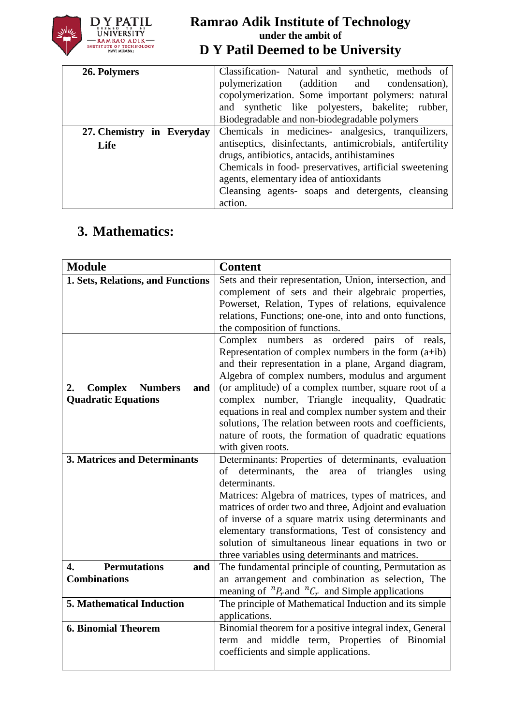

| 26. Polymers                      | Classification- Natural and synthetic, methods of<br>polymerization (addition and condensation),<br>copolymerization. Some important polymers: natural<br>and synthetic like polyesters, bakelite; rubber,<br>Biodegradable and non-biodegradable polymers                                                                            |
|-----------------------------------|---------------------------------------------------------------------------------------------------------------------------------------------------------------------------------------------------------------------------------------------------------------------------------------------------------------------------------------|
| 27. Chemistry in Everyday<br>Life | Chemicals in medicines- analgesics, tranquilizers,<br>antiseptics, disinfectants, antimicrobials, antifertility<br>drugs, antibiotics, antacids, antihistamines<br>Chemicals in food- preservatives, artificial sweetening<br>agents, elementary idea of antioxidants<br>Cleansing agents- soaps and detergents, cleansing<br>action. |

# **3. Mathematics:**

| <b>Module</b>                       | <b>Content</b>                                             |
|-------------------------------------|------------------------------------------------------------|
| 1. Sets, Relations, and Functions   | Sets and their representation, Union, intersection, and    |
|                                     | complement of sets and their algebraic properties,         |
|                                     | Powerset, Relation, Types of relations, equivalence        |
|                                     | relations, Functions; one-one, into and onto functions,    |
|                                     | the composition of functions.                              |
|                                     | Complex<br>numbers<br>ordered pairs of reals,<br>as        |
|                                     | Representation of complex numbers in the form $(a+ib)$     |
|                                     | and their representation in a plane, Argand diagram,       |
|                                     | Algebra of complex numbers, modulus and argument           |
| <b>Complex</b> Numbers<br>2.<br>and | (or amplitude) of a complex number, square root of a       |
| <b>Quadratic Equations</b>          | complex number, Triangle inequality, Quadratic             |
|                                     | equations in real and complex number system and their      |
|                                     | solutions, The relation between roots and coefficients,    |
|                                     | nature of roots, the formation of quadratic equations      |
|                                     | with given roots.                                          |
| <b>3. Matrices and Determinants</b> | Determinants: Properties of determinants, evaluation       |
|                                     | of determinants, the<br>of<br>triangles<br>area<br>using   |
|                                     | determinants.                                              |
|                                     | Matrices: Algebra of matrices, types of matrices, and      |
|                                     | matrices of order two and three, Adjoint and evaluation    |
|                                     | of inverse of a square matrix using determinants and       |
|                                     | elementary transformations, Test of consistency and        |
|                                     | solution of simultaneous linear equations in two or        |
|                                     | three variables using determinants and matrices.           |
| <b>Permutations</b><br>4.<br>and    | The fundamental principle of counting, Permutation as      |
| <b>Combinations</b>                 | an arrangement and combination as selection, The           |
|                                     | meaning of ${}^nP_r$ and ${}^nC_r$ and Simple applications |
| <b>5. Mathematical Induction</b>    | The principle of Mathematical Induction and its simple     |
|                                     | applications.                                              |
| <b>6. Binomial Theorem</b>          | Binomial theorem for a positive integral index, General    |
|                                     | and middle term, Properties of Binomial<br>term            |
|                                     | coefficients and simple applications.                      |
|                                     |                                                            |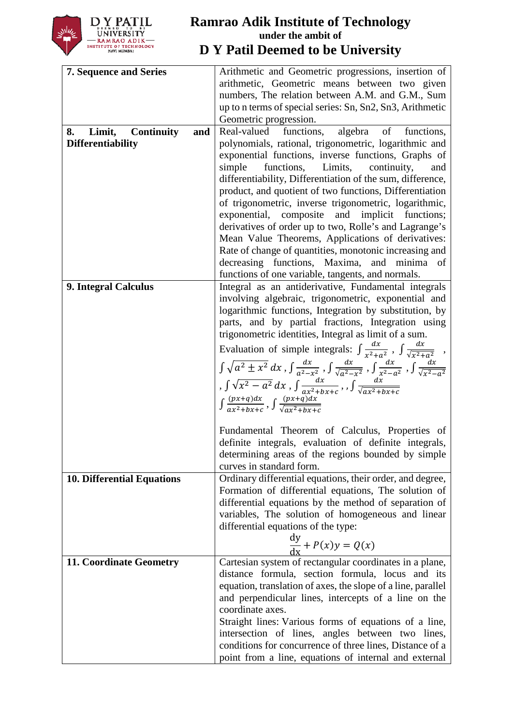

| <b>7. Sequence and Series</b>            | Arithmetic and Geometric progressions, insertion of                                                                                                                   |
|------------------------------------------|-----------------------------------------------------------------------------------------------------------------------------------------------------------------------|
|                                          | arithmetic, Geometric means between two given                                                                                                                         |
|                                          | numbers, The relation between A.M. and G.M., Sum                                                                                                                      |
|                                          | up to n terms of special series: Sn, Sn2, Sn3, Arithmetic                                                                                                             |
|                                          | Geometric progression.                                                                                                                                                |
| 8.<br>Limit,<br><b>Continuity</b><br>and | Real-valued<br>functions,<br>algebra<br>of<br>functions,                                                                                                              |
| <b>Differentiability</b>                 | polynomials, rational, trigonometric, logarithmic and                                                                                                                 |
|                                          | exponential functions, inverse functions, Graphs of                                                                                                                   |
|                                          | simple<br>functions,<br>Limits,<br>continuity,<br>and                                                                                                                 |
|                                          | differentiability, Differentiation of the sum, difference,                                                                                                            |
|                                          | product, and quotient of two functions, Differentiation                                                                                                               |
|                                          | of trigonometric, inverse trigonometric, logarithmic,                                                                                                                 |
|                                          | exponential, composite and<br>implicit functions;                                                                                                                     |
|                                          | derivatives of order up to two, Rolle's and Lagrange's                                                                                                                |
|                                          | Mean Value Theorems, Applications of derivatives:                                                                                                                     |
|                                          | Rate of change of quantities, monotonic increasing and                                                                                                                |
|                                          | decreasing functions, Maxima, and minima of                                                                                                                           |
|                                          | functions of one variable, tangents, and normals.                                                                                                                     |
| 9. Integral Calculus                     | Integral as an antiderivative, Fundamental integrals                                                                                                                  |
|                                          | involving algebraic, trigonometric, exponential and                                                                                                                   |
|                                          | logarithmic functions, Integration by substitution, by                                                                                                                |
|                                          | parts, and by partial fractions, Integration using                                                                                                                    |
|                                          | trigonometric identities, Integral as limit of a sum.                                                                                                                 |
|                                          | Evaluation of simple integrals: $\int \frac{dx}{x^2 + a^2}$ , $\int \frac{dx}{\sqrt{x^2 + a^2}}$ ,                                                                    |
|                                          | $\int \sqrt{a^2 \pm x^2} \, dx$ , $\int \frac{dx}{a^2 - x^2}$ , $\int \frac{dx}{\sqrt{a^2 - x^2}}$ , $\int \frac{dx}{x^2 - a^2}$ , $\int \frac{dx}{\sqrt{x^2 - a^2}}$ |
|                                          |                                                                                                                                                                       |
|                                          | , $\int \sqrt{x^2-a^2} dx$ , $\int \frac{dx}{ax^2+bx+c}$ , $\int \frac{dx}{\sqrt{ax^2+bx+c}}$                                                                         |
|                                          | $\int \frac{(px+q)dx}{qx^2+hr+c}$ , $\int \frac{(px+q)dx}{\sqrt{qx^2+hr+c}}$                                                                                          |
|                                          |                                                                                                                                                                       |
|                                          | Fundamental Theorem of Calculus, Properties of                                                                                                                        |
|                                          | definite integrals, evaluation of definite integrals,                                                                                                                 |
|                                          | determining areas of the regions bounded by simple                                                                                                                    |
|                                          | curves in standard form.                                                                                                                                              |
| <b>10. Differential Equations</b>        | Ordinary differential equations, their order, and degree,                                                                                                             |
|                                          | Formation of differential equations, The solution of                                                                                                                  |
|                                          | differential equations by the method of separation of                                                                                                                 |
|                                          | variables, The solution of homogeneous and linear                                                                                                                     |
|                                          | differential equations of the type:                                                                                                                                   |
|                                          | $\frac{dy}{dx}$ + $P(x)y = Q(x)$                                                                                                                                      |
|                                          |                                                                                                                                                                       |
| 11. Coordinate Geometry                  | Cartesian system of rectangular coordinates in a plane,                                                                                                               |
|                                          | distance formula, section formula, locus and its                                                                                                                      |
|                                          | equation, translation of axes, the slope of a line, parallel                                                                                                          |
|                                          | and perpendicular lines, intercepts of a line on the                                                                                                                  |
|                                          | coordinate axes.                                                                                                                                                      |
|                                          | Straight lines: Various forms of equations of a line,                                                                                                                 |
|                                          | intersection of lines, angles between two lines,                                                                                                                      |
|                                          | conditions for concurrence of three lines, Distance of a                                                                                                              |
|                                          | point from a line, equations of internal and external                                                                                                                 |